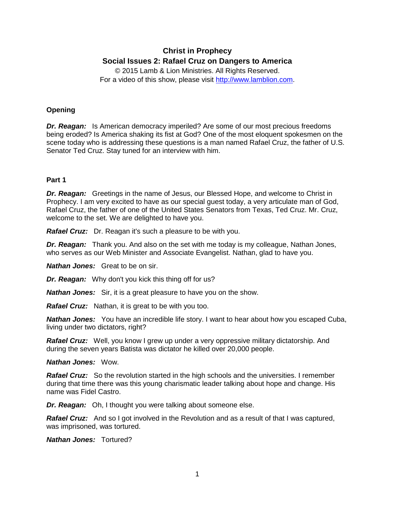# **Christ in Prophecy Social Issues 2: Rafael Cruz on Dangers to America**

© 2015 Lamb & Lion Ministries. All Rights Reserved. For a video of this show, please visit [http://www.lamblion.com.](http://www.lamblion.com/)

# **Opening**

*Dr. Reagan:* Is American democracy imperiled? Are some of our most precious freedoms being eroded? Is America shaking its fist at God? One of the most eloquent spokesmen on the scene today who is addressing these questions is a man named Rafael Cruz, the father of U.S. Senator Ted Cruz. Stay tuned for an interview with him.

# **Part 1**

*Dr. Reagan:* Greetings in the name of Jesus, our Blessed Hope, and welcome to Christ in Prophecy. I am very excited to have as our special guest today, a very articulate man of God, Rafael Cruz, the father of one of the United States Senators from Texas, Ted Cruz. Mr. Cruz, welcome to the set. We are delighted to have you.

*Rafael Cruz:* Dr. Reagan it's such a pleasure to be with you.

*Dr. Reagan:* Thank you. And also on the set with me today is my colleague, Nathan Jones, who serves as our Web Minister and Associate Evangelist. Nathan, glad to have you.

*Nathan Jones:* Great to be on sir.

*Dr. Reagan:* Why don't you kick this thing off for us?

*Nathan Jones:* Sir, it is a great pleasure to have you on the show.

*Rafael Cruz:* Nathan, it is great to be with you too.

*Nathan Jones:* You have an incredible life story. I want to hear about how you escaped Cuba, living under two dictators, right?

*Rafael Cruz:* Well, you know I grew up under a very oppressive military dictatorship. And during the seven years Batista was dictator he killed over 20,000 people.

*Nathan Jones:* Wow.

*Rafael Cruz:* So the revolution started in the high schools and the universities. I remember during that time there was this young charismatic leader talking about hope and change. His name was Fidel Castro.

*Dr. Reagan:* Oh, I thought you were talking about someone else.

**Rafael Cruz:** And so I got involved in the Revolution and as a result of that I was captured. was imprisoned, was tortured.

*Nathan Jones:* Tortured?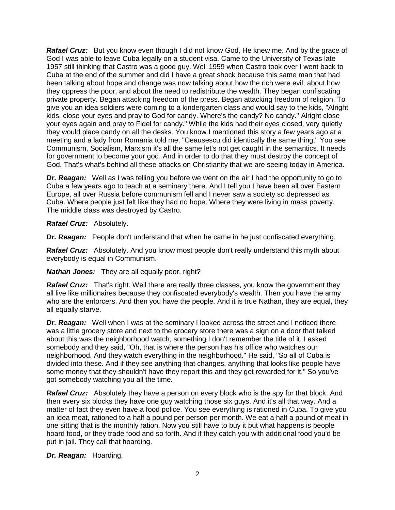**Rafael Cruz:** But you know even though I did not know God, He knew me. And by the grace of God I was able to leave Cuba legally on a student visa. Came to the University of Texas late 1957 still thinking that Castro was a good guy. Well 1959 when Castro took over I went back to Cuba at the end of the summer and did I have a great shock because this same man that had been talking about hope and change was now talking about how the rich were evil, about how they oppress the poor, and about the need to redistribute the wealth. They began confiscating private property. Began attacking freedom of the press. Began attacking freedom of religion. To give you an idea soldiers were coming to a kindergarten class and would say to the kids, "Alright kids, close your eyes and pray to God for candy. Where's the candy? No candy." Alright close your eyes again and pray to Fidel for candy." While the kids had their eyes closed, very quietly they would place candy on all the desks. You know I mentioned this story a few years ago at a meeting and a lady from Romania told me, "Ceausescu did identically the same thing." You see Communism, Socialism, Marxism it's all the same let's not get caught in the semantics. It needs for government to become your god. And in order to do that they must destroy the concept of God. That's what's behind all these attacks on Christianity that we are seeing today in America.

*Dr. Reagan:* Well as I was telling you before we went on the air I had the opportunity to go to Cuba a few years ago to teach at a seminary there. And I tell you I have been all over Eastern Europe, all over Russia before communism fell and I never saw a society so depressed as Cuba. Where people just felt like they had no hope. Where they were living in mass poverty. The middle class was destroyed by Castro.

*Rafael Cruz:* Absolutely.

*Dr. Reagan:* People don't understand that when he came in he just confiscated everything.

*Rafael Cruz:* Absolutely. And you know most people don't really understand this myth about everybody is equal in Communism.

*Nathan Jones:* They are all equally poor, right?

**Rafael Cruz:** That's right. Well there are really three classes, you know the government they all live like millionaires because they confiscated everybody's wealth. Then you have the army who are the enforcers. And then you have the people. And it is true Nathan, they are equal, they all equally starve.

*Dr. Reagan:* Well when I was at the seminary I looked across the street and I noticed there was a little grocery store and next to the grocery store there was a sign on a door that talked about this was the neighborhood watch, something I don't remember the title of it. I asked somebody and they said, "Oh, that is where the person has his office who watches our neighborhood. And they watch everything in the neighborhood." He said, "So all of Cuba is divided into these. And if they see anything that changes, anything that looks like people have some money that they shouldn't have they report this and they get rewarded for it." So you've got somebody watching you all the time.

**Rafael Cruz:** Absolutely they have a person on every block who is the spy for that block. And then every six blocks they have one guy watching those six guys. And it's all that way. And a matter of fact they even have a food police. You see everything is rationed in Cuba. To give you an idea meat, rationed to a half a pound per person per month. We eat a half a pound of meat in one sitting that is the monthly ration. Now you still have to buy it but what happens is people hoard food, or they trade food and so forth. And if they catch you with additional food you'd be put in jail. They call that hoarding.

*Dr. Reagan:* Hoarding.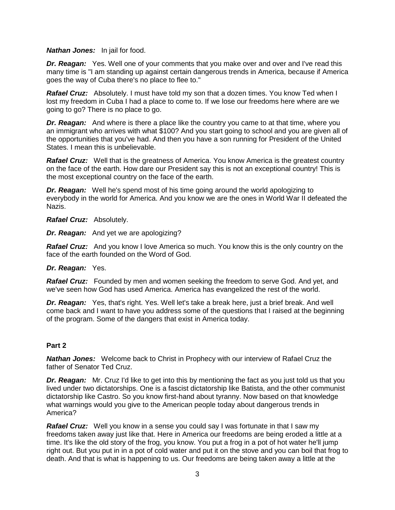#### *Nathan Jones:* In jail for food.

**Dr. Reagan:** Yes. Well one of your comments that you make over and over and I've read this many time is "I am standing up against certain dangerous trends in America, because if America goes the way of Cuba there's no place to flee to."

**Rafael Cruz:** Absolutely. I must have told my son that a dozen times. You know Ted when I lost my freedom in Cuba I had a place to come to. If we lose our freedoms here where are we going to go? There is no place to go.

*Dr. Reagan:* And where is there a place like the country you came to at that time, where you an immigrant who arrives with what \$100? And you start going to school and you are given all of the opportunities that you've had. And then you have a son running for President of the United States. I mean this is unbelievable.

**Rafael Cruz:** Well that is the greatness of America. You know America is the greatest country on the face of the earth. How dare our President say this is not an exceptional country! This is the most exceptional country on the face of the earth.

*Dr. Reagan:* Well he's spend most of his time going around the world apologizing to everybody in the world for America. And you know we are the ones in World War II defeated the Nazis.

*Rafael Cruz:* Absolutely.

*Dr. Reagan:* And yet we are apologizing?

**Rafael Cruz:** And you know I love America so much. You know this is the only country on the face of the earth founded on the Word of God.

#### *Dr. Reagan:* Yes.

*Rafael Cruz:* Founded by men and women seeking the freedom to serve God. And yet, and we've seen how God has used America. America has evangelized the rest of the world.

*Dr. Reagan:* Yes, that's right. Yes. Well let's take a break here, just a brief break. And well come back and I want to have you address some of the questions that I raised at the beginning of the program. Some of the dangers that exist in America today.

#### **Part 2**

*Nathan Jones:* Welcome back to Christ in Prophecy with our interview of Rafael Cruz the father of Senator Ted Cruz.

*Dr. Reagan:* Mr. Cruz I'd like to get into this by mentioning the fact as you just told us that you lived under two dictatorships. One is a fascist dictatorship like Batista, and the other communist dictatorship like Castro. So you know first-hand about tyranny. Now based on that knowledge what warnings would you give to the American people today about dangerous trends in America?

*Rafael Cruz:* Well you know in a sense you could say I was fortunate in that I saw my freedoms taken away just like that. Here in America our freedoms are being eroded a little at a time. It's like the old story of the frog, you know. You put a frog in a pot of hot water he'll jump right out. But you put in in a pot of cold water and put it on the stove and you can boil that frog to death. And that is what is happening to us. Our freedoms are being taken away a little at the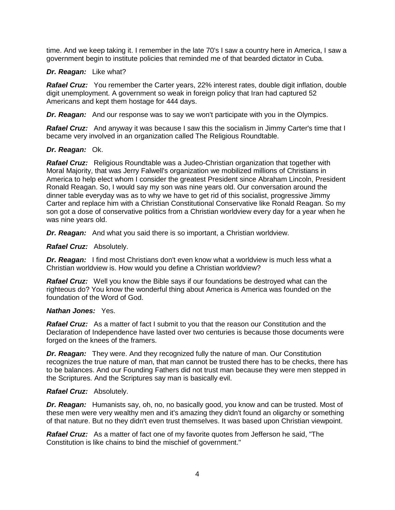time. And we keep taking it. I remember in the late 70's I saw a country here in America, I saw a government begin to institute policies that reminded me of that bearded dictator in Cuba.

#### *Dr. Reagan:* Like what?

**Rafael Cruz:** You remember the Carter years, 22% interest rates, double digit inflation, double digit unemployment. A government so weak in foreign policy that Iran had captured 52 Americans and kept them hostage for 444 days.

*Dr. Reagan:* And our response was to say we won't participate with you in the Olympics.

**Rafael Cruz:** And anyway it was because I saw this the socialism in Jimmy Carter's time that I became very involved in an organization called The Religious Roundtable.

#### *Dr. Reagan:* Ok.

*Rafael Cruz:* Religious Roundtable was a Judeo-Christian organization that together with Moral Majority, that was Jerry Falwell's organization we mobilized millions of Christians in America to help elect whom I consider the greatest President since Abraham Lincoln, President Ronald Reagan. So, I would say my son was nine years old. Our conversation around the dinner table everyday was as to why we have to get rid of this socialist, progressive Jimmy Carter and replace him with a Christian Constitutional Conservative like Ronald Reagan. So my son got a dose of conservative politics from a Christian worldview every day for a year when he was nine years old.

*Dr. Reagan:* And what you said there is so important, a Christian worldview.

*Rafael Cruz:* Absolutely.

*Dr. Reagan:* I find most Christians don't even know what a worldview is much less what a Christian worldview is. How would you define a Christian worldview?

*Rafael Cruz:* Well you know the Bible says if our foundations be destroyed what can the righteous do? You know the wonderful thing about America is America was founded on the foundation of the Word of God.

#### *Nathan Jones:* Yes.

**Rafael Cruz:** As a matter of fact I submit to you that the reason our Constitution and the Declaration of Independence have lasted over two centuries is because those documents were forged on the knees of the framers.

*Dr. Reagan:* They were. And they recognized fully the nature of man. Our Constitution recognizes the true nature of man, that man cannot be trusted there has to be checks, there has to be balances. And our Founding Fathers did not trust man because they were men stepped in the Scriptures. And the Scriptures say man is basically evil.

#### *Rafael Cruz:* Absolutely.

*Dr. Reagan:* Humanists say, oh, no, no basically good, you know and can be trusted. Most of these men were very wealthy men and it's amazing they didn't found an oligarchy or something of that nature. But no they didn't even trust themselves. It was based upon Christian viewpoint.

*Rafael Cruz:* As a matter of fact one of my favorite quotes from Jefferson he said, "The Constitution is like chains to bind the mischief of government."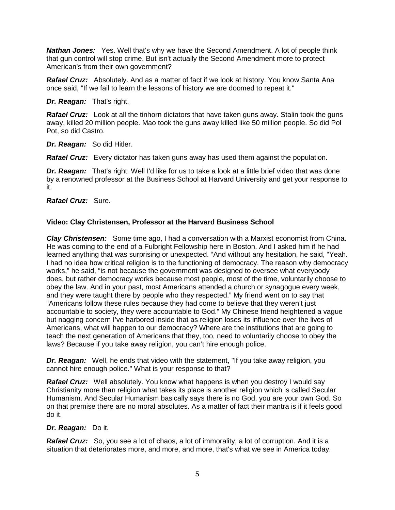*Nathan Jones:* Yes. Well that's why we have the Second Amendment. A lot of people think that gun control will stop crime. But isn't actually the Second Amendment more to protect American's from their own government?

*Rafael Cruz:* Absolutely. And as a matter of fact if we look at history. You know Santa Ana once said, "If we fail to learn the lessons of history we are doomed to repeat it."

*Dr. Reagan:* That's right.

**Rafael Cruz:** Look at all the tinhorn dictators that have taken guns away. Stalin took the guns away, killed 20 million people. Mao took the guns away killed like 50 million people. So did Pol Pot, so did Castro.

*Dr. Reagan:* So did Hitler.

*Rafael Cruz:* Every dictator has taken guns away has used them against the population.

*Dr. Reagan:* That's right. Well I'd like for us to take a look at a little brief video that was done by a renowned professor at the Business School at Harvard University and get your response to it.

*Rafael Cruz:* Sure.

# **Video: Clay Christensen, Professor at the Harvard Business School**

*Clay Christensen:* Some time ago, I had a conversation with a Marxist economist from China. He was coming to the end of a Fulbright Fellowship here in Boston. And I asked him if he had learned anything that was surprising or unexpected. "And without any hesitation, he said, "Yeah. I had no idea how critical religion is to the functioning of democracy. The reason why democracy works," he said, "is not because the government was designed to oversee what everybody does, but rather democracy works because most people, most of the time, voluntarily choose to obey the law. And in your past, most Americans attended a church or synagogue every week, and they were taught there by people who they respected." My friend went on to say that "Americans follow these rules because they had come to believe that they weren't just accountable to society, they were accountable to God." My Chinese friend heightened a vague but nagging concern I've harbored inside that as religion loses its influence over the lives of Americans, what will happen to our democracy? Where are the institutions that are going to teach the next generation of Americans that they, too, need to voluntarily choose to obey the laws? Because if you take away religion, you can't hire enough police.

*Dr. Reagan:* Well, he ends that video with the statement, "If you take away religion, you cannot hire enough police." What is your response to that?

*Rafael Cruz:* Well absolutely. You know what happens is when you destroy I would say Christianity more than religion what takes its place is another religion which is called Secular Humanism. And Secular Humanism basically says there is no God, you are your own God. So on that premise there are no moral absolutes. As a matter of fact their mantra is if it feels good do it.

# *Dr. Reagan:* Do it.

**Rafael Cruz:** So, you see a lot of chaos, a lot of immorality, a lot of corruption. And it is a situation that deteriorates more, and more, and more, that's what we see in America today.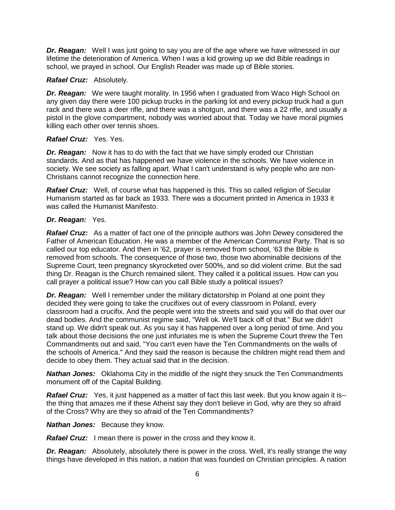*Dr. Reagan:* Well I was just going to say you are of the age where we have witnessed in our lifetime the deterioration of America. When I was a kid growing up we did Bible readings in school, we prayed in school. Our English Reader was made up of Bible stories.

### *Rafael Cruz:* Absolutely.

*Dr. Reagan:* We were taught morality. In 1956 when I graduated from Waco High School on any given day there were 100 pickup trucks in the parking lot and every pickup truck had a gun rack and there was a deer rifle, and there was a shotgun, and there was a 22 rifle, and usually a pistol in the glove compartment, nobody was worried about that. Today we have moral pigmies killing each other over tennis shoes.

### *Rafael Cruz:* Yes. Yes.

*Dr. Reagan:* Now it has to do with the fact that we have simply eroded our Christian standards. And as that has happened we have violence in the schools. We have violence in society. We see society as falling apart. What I can't understand is why people who are non-Christians cannot recognize the connection here.

*Rafael Cruz:* Well, of course what has happened is this. This so called religion of Secular Humanism started as far back as 1933. There was a document printed in America in 1933 it was called the Humanist Manifesto.

### *Dr. Reagan:* Yes.

*Rafael Cruz:* As a matter of fact one of the principle authors was John Dewey considered the Father of American Education. He was a member of the American Communist Party. That is so called our top educator. And then in '62, prayer is removed from school, '63 the Bible is removed from schools. The consequence of those two, those two abominable decisions of the Supreme Court, teen pregnancy skyrocketed over 500%, and so did violent crime. But the sad thing Dr. Reagan is the Church remained silent. They called it a political issues. How can you call prayer a political issue? How can you call Bible study a political issues?

*Dr. Reagan:* Well I remember under the military dictatorship in Poland at one point they decided they were going to take the crucifixes out of every classroom in Poland, every classroom had a crucifix. And the people went into the streets and said you will do that over our dead bodies. And the communist regime said, "Well ok. We'll back off of that." But we didn't stand up. We didn't speak out. As you say it has happened over a long period of time. And you talk about those decisions the one just infuriates me is when the Supreme Court threw the Ten Commandments out and said, "You can't even have the Ten Commandments on the walls of the schools of America." And they said the reason is because the children might read them and decide to obey them. They actual said that in the decision.

*Nathan Jones:* Oklahoma City in the middle of the night they snuck the Ten Commandments monument off of the Capital Building.

*Rafael Cruz:* Yes, it just happened as a matter of fact this last week. But you know again it is- the thing that amazes me if these Atheist say they don't believe in God, why are they so afraid of the Cross? Why are they so afraid of the Ten Commandments?

*Nathan Jones:* Because they know.

*Rafael Cruz:* I mean there is power in the cross and they know it.

**Dr. Reagan:** Absolutely, absolutely there is power in the cross. Well, it's really strange the way things have developed in this nation, a nation that was founded on Christian principles. A nation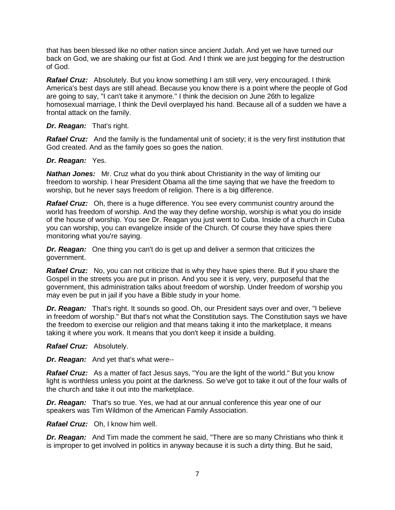that has been blessed like no other nation since ancient Judah. And yet we have turned our back on God, we are shaking our fist at God. And I think we are just begging for the destruction of God.

*Rafael Cruz:* Absolutely. But you know something I am still very, very encouraged. I think America's best days are still ahead. Because you know there is a point where the people of God are going to say, "I can't take it anymore." I think the decision on June 26th to legalize homosexual marriage, I think the Devil overplayed his hand. Because all of a sudden we have a frontal attack on the family.

### *Dr. Reagan:* That's right.

**Rafael Cruz:** And the family is the fundamental unit of society; it is the very first institution that God created. And as the family goes so goes the nation.

### *Dr. Reagan:* Yes.

*Nathan Jones:* Mr. Cruz what do you think about Christianity in the way of limiting our freedom to worship. I hear President Obama all the time saying that we have the freedom to worship, but he never says freedom of religion. There is a big difference.

*Rafael Cruz:* Oh, there is a huge difference. You see every communist country around the world has freedom of worship. And the way they define worship, worship is what you do inside of the house of worship. You see Dr. Reagan you just went to Cuba. Inside of a church in Cuba you can worship, you can evangelize inside of the Church. Of course they have spies there monitoring what you're saying.

*Dr. Reagan:* One thing you can't do is get up and deliver a sermon that criticizes the government.

*Rafael Cruz:* No, you can not criticize that is why they have spies there. But if you share the Gospel in the streets you are put in prison. And you see it is very, very, purposeful that the government, this administration talks about freedom of worship. Under freedom of worship you may even be put in jail if you have a Bible study in your home.

*Dr. Reagan:* That's right. It sounds so good. Oh, our President says over and over, "I believe in freedom of worship." But that's not what the Constitution says. The Constitution says we have the freedom to exercise our religion and that means taking it into the marketplace, it means taking it where you work. It means that you don't keep it inside a building.

*Rafael Cruz:* Absolutely.

*Dr. Reagan:* And yet that's what were--

*Rafael Cruz:* As a matter of fact Jesus says, "You are the light of the world." But you know light is worthless unless you point at the darkness. So we've got to take it out of the four walls of the church and take it out into the marketplace.

*Dr. Reagan:* That's so true. Yes, we had at our annual conference this year one of our speakers was Tim Wildmon of the American Family Association.

*Rafael Cruz:* Oh, I know him well.

*Dr. Reagan:* And Tim made the comment he said, "There are so many Christians who think it is improper to get involved in politics in anyway because it is such a dirty thing. But he said,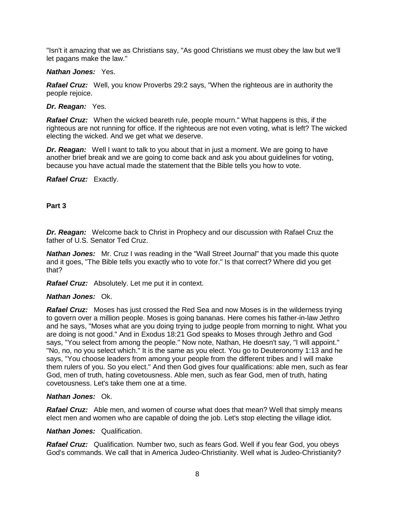"Isn't it amazing that we as Christians say, "As good Christians we must obey the law but we'll let pagans make the law."

#### *Nathan Jones:* Yes.

*Rafael Cruz:* Well, you know Proverbs 29:2 says, "When the righteous are in authority the people rejoice.

#### *Dr. Reagan:* Yes.

*Rafael Cruz:* When the wicked beareth rule, people mourn." What happens is this, if the righteous are not running for office. If the righteous are not even voting, what is left? The wicked electing the wicked. And we get what we deserve.

*Dr. Reagan:* Well I want to talk to you about that in just a moment. We are going to have another brief break and we are going to come back and ask you about guidelines for voting, because you have actual made the statement that the Bible tells you how to vote.

#### *Rafael Cruz:* Exactly.

# **Part 3**

*Dr. Reagan:* Welcome back to Christ in Prophecy and our discussion with Rafael Cruz the father of U.S. Senator Ted Cruz.

*Nathan Jones:* Mr. Cruz I was reading in the "Wall Street Journal" that you made this quote and it goes, "The Bible tells you exactly who to vote for." Is that correct? Where did you get that?

*Rafael Cruz:* Absolutely. Let me put it in context.

#### *Nathan Jones:* Ok.

*Rafael Cruz:* Moses has just crossed the Red Sea and now Moses is in the wilderness trying to govern over a million people. Moses is going bananas. Here comes his father-in-law Jethro and he says, "Moses what are you doing trying to judge people from morning to night. What you are doing is not good." And in Exodus 18:21 God speaks to Moses through Jethro and God says, "You select from among the people." Now note, Nathan, He doesn't say, "I will appoint." "No, no, no you select which." It is the same as you elect. You go to Deuteronomy 1:13 and he says, "You choose leaders from among your people from the different tribes and I will make them rulers of you. So you elect." And then God gives four qualifications: able men, such as fear God, men of truth, hating covetousness. Able men, such as fear God, men of truth, hating covetousness. Let's take them one at a time.

#### *Nathan Jones:* Ok.

*Rafael Cruz:* Able men, and women of course what does that mean? Well that simply means elect men and women who are capable of doing the job. Let's stop electing the village idiot.

#### *Nathan Jones:* Qualification.

*Rafael Cruz:* Qualification. Number two, such as fears God. Well if you fear God, you obeys God's commands. We call that in America Judeo-Christianity. Well what is Judeo-Christianity?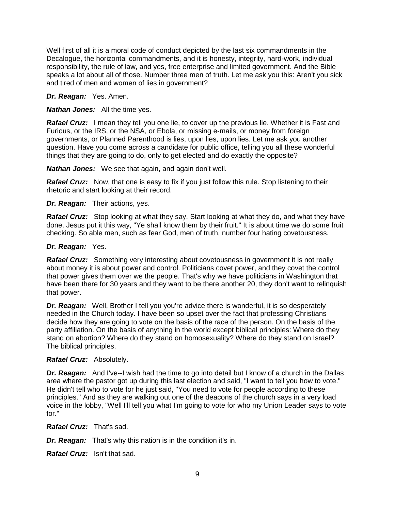Well first of all it is a moral code of conduct depicted by the last six commandments in the Decalogue, the horizontal commandments, and it is honesty, integrity, hard-work, individual responsibility, the rule of law, and yes, free enterprise and limited government. And the Bible speaks a lot about all of those. Number three men of truth. Let me ask you this: Aren't you sick and tired of men and women of lies in government?

### *Dr. Reagan:* Yes. Amen.

### *Nathan Jones:* All the time yes.

**Rafael Cruz:** I mean they tell you one lie, to cover up the previous lie. Whether it is Fast and Furious, or the IRS, or the NSA, or Ebola, or missing e-mails, or money from foreign governments, or Planned Parenthood is lies, upon lies, upon lies. Let me ask you another question. Have you come across a candidate for public office, telling you all these wonderful things that they are going to do, only to get elected and do exactly the opposite?

*Nathan Jones:* We see that again, and again don't well.

*Rafael Cruz:* Now, that one is easy to fix if you just follow this rule. Stop listening to their rhetoric and start looking at their record.

### *Dr. Reagan:* Their actions, yes.

*Rafael Cruz:* Stop looking at what they say. Start looking at what they do, and what they have done. Jesus put it this way, "Ye shall know them by their fruit." It is about time we do some fruit checking. So able men, such as fear God, men of truth, number four hating covetousness.

### *Dr. Reagan:* Yes.

*Rafael Cruz:* Something very interesting about covetousness in government it is not really about money it is about power and control. Politicians covet power, and they covet the control that power gives them over we the people. That's why we have politicians in Washington that have been there for 30 years and they want to be there another 20, they don't want to relinquish that power.

**Dr. Reagan:** Well, Brother I tell you you're advice there is wonderful, it is so desperately needed in the Church today. I have been so upset over the fact that professing Christians decide how they are going to vote on the basis of the race of the person. On the basis of the party affiliation. On the basis of anything in the world except biblical principles: Where do they stand on abortion? Where do they stand on homosexuality? Where do they stand on Israel? The biblical principles.

# *Rafael Cruz:* Absolutely.

**Dr. Reagan:** And I've--I wish had the time to go into detail but I know of a church in the Dallas area where the pastor got up during this last election and said, "I want to tell you how to vote." He didn't tell who to vote for he just said, "You need to vote for people according to these principles." And as they are walking out one of the deacons of the church says in a very load voice in the lobby, "Well I'll tell you what I'm going to vote for who my Union Leader says to vote for."

*Rafael Cruz:* That's sad.

*Dr. Reagan:* That's why this nation is in the condition it's in.

*Rafael Cruz:* Isn't that sad.